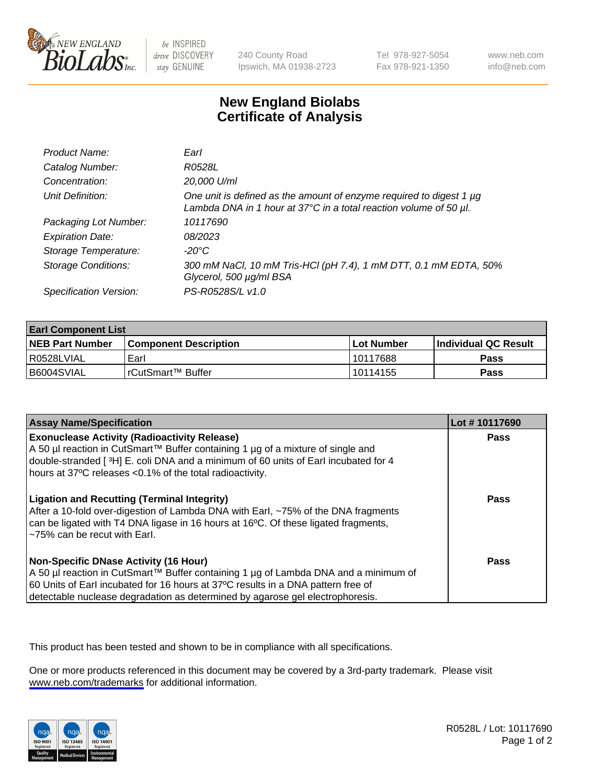

be INSPIRED drive DISCOVERY stay GENUINE

240 County Road Ipswich, MA 01938-2723 Tel 978-927-5054 Fax 978-921-1350

www.neb.com info@neb.com

## **New England Biolabs Certificate of Analysis**

| Product Name:              | Earl                                                                                                                                                         |
|----------------------------|--------------------------------------------------------------------------------------------------------------------------------------------------------------|
| Catalog Number:            | R0528L                                                                                                                                                       |
| Concentration:             | 20,000 U/ml                                                                                                                                                  |
| Unit Definition:           | One unit is defined as the amount of enzyme required to digest 1 $\mu$ g<br>Lambda DNA in 1 hour at $37^{\circ}$ C in a total reaction volume of 50 $\mu$ l. |
| Packaging Lot Number:      | 10117690                                                                                                                                                     |
| <b>Expiration Date:</b>    | 08/2023                                                                                                                                                      |
| Storage Temperature:       | $-20^{\circ}$ C                                                                                                                                              |
| <b>Storage Conditions:</b> | 300 mM NaCl, 10 mM Tris-HCl (pH 7.4), 1 mM DTT, 0.1 mM EDTA, 50%<br>Glycerol, 500 µg/ml BSA                                                                  |
| Specification Version:     | PS-R0528S/L v1.0                                                                                                                                             |

| <b>Earl Component List</b> |                         |              |                             |  |
|----------------------------|-------------------------|--------------|-----------------------------|--|
| <b>NEB Part Number</b>     | l Component Description | l Lot Number | <b>Individual QC Result</b> |  |
| I R0528LVIAL               | Earl                    | 10117688     | Pass                        |  |
| B6004SVIAL                 | l rCutSmart™ Buffer_    | 10114155     | Pass                        |  |

| <b>Assay Name/Specification</b>                                                                                                                                                                                                                                                                                                                 | Lot #10117690 |
|-------------------------------------------------------------------------------------------------------------------------------------------------------------------------------------------------------------------------------------------------------------------------------------------------------------------------------------------------|---------------|
| <b>Exonuclease Activity (Radioactivity Release)</b><br>A 50 µl reaction in CutSmart™ Buffer containing 1 µg of a mixture of single and<br>double-stranded [3H] E. coli DNA and a minimum of 60 units of Earl incubated for 4                                                                                                                    | Pass          |
| hours at 37°C releases <0.1% of the total radioactivity.<br><b>Ligation and Recutting (Terminal Integrity)</b><br>After a 10-fold over-digestion of Lambda DNA with Earl, ~75% of the DNA fragments<br>can be ligated with T4 DNA ligase in 16 hours at 16 <sup>o</sup> C. Of these ligated fragments,<br>$\approx$ 75% can be recut with Earl. | <b>Pass</b>   |
| <b>Non-Specific DNase Activity (16 Hour)</b><br>A 50 µl reaction in CutSmart™ Buffer containing 1 µg of Lambda DNA and a minimum of<br>60 Units of Earl incubated for 16 hours at 37°C results in a DNA pattern free of<br>detectable nuclease degradation as determined by agarose gel electrophoresis.                                        | Pass          |

This product has been tested and shown to be in compliance with all specifications.

One or more products referenced in this document may be covered by a 3rd-party trademark. Please visit <www.neb.com/trademarks>for additional information.